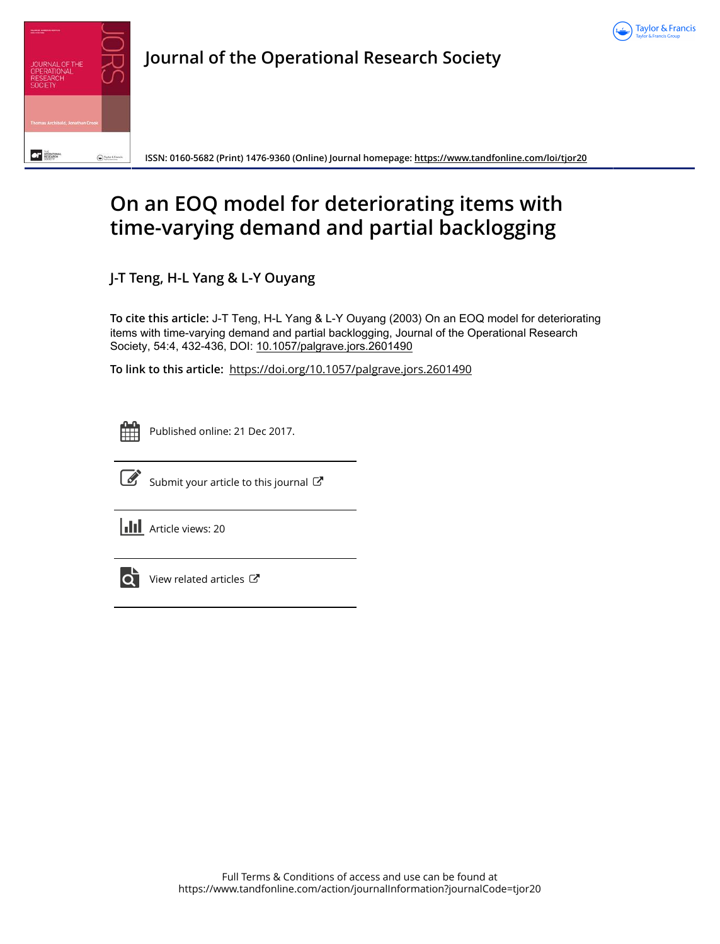



**ISSN: 0160-5682 (Print) 1476-9360 (Online) Journal homepage:<https://www.tandfonline.com/loi/tjor20>**

# **On an EOQ model for deteriorating items with time-varying demand and partial backlogging**

**J-T Teng, H-L Yang & L-Y Ouyang**

**To cite this article:** J-T Teng, H-L Yang & L-Y Ouyang (2003) On an EOQ model for deteriorating items with time-varying demand and partial backlogging, Journal of the Operational Research Society, 54:4, 432-436, DOI: [10.1057/palgrave.jors.2601490](https://www.tandfonline.com/action/showCitFormats?doi=10.1057/palgrave.jors.2601490)

**To link to this article:** <https://doi.org/10.1057/palgrave.jors.2601490>



Published online: 21 Dec 2017.



 $\overrightarrow{S}$  [Submit your article to this journal](https://www.tandfonline.com/action/authorSubmission?journalCode=tjor20&show=instructions)  $\overrightarrow{S}$ 

**III** Article views: 20



[View related articles](https://www.tandfonline.com/doi/mlt/10.1057/palgrave.jors.2601490)  $\mathbb{Z}$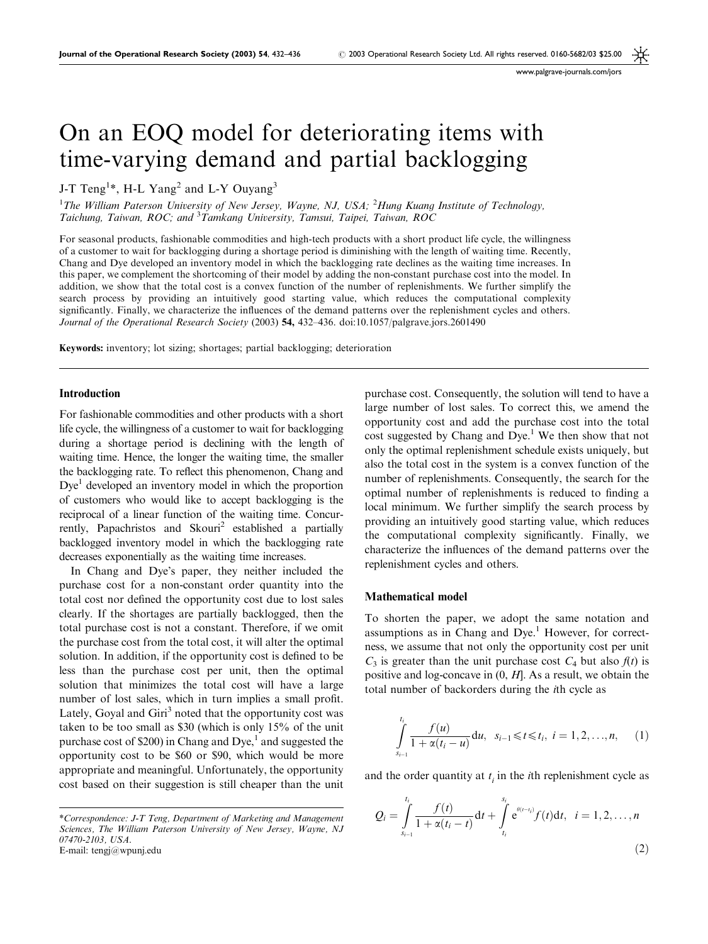www.palgrave-journals.com/jors

## On an EOQ model for deteriorating items with time-varying demand and partial backlogging

J-T Teng<sup>1\*</sup>, H-L Yang<sup>2</sup> and L-Y Ouyang<sup>3</sup>

<sup>1</sup>The William Paterson University of New Jersey, Wayne, NJ, USA; <sup>2</sup>Hung Kuang Institute of Technology, Taichung, Taiwan, ROC; and <sup>3</sup>Tamkang University, Tamsui, Taipei, Taiwan, ROC

For seasonal products, fashionable commodities and high-tech products with a short product life cycle, the willingness of a customer to wait for backlogging during a shortage period is diminishing with the length of waiting time. Recently, Chang and Dye developed an inventory model in which the backlogging rate declines as the waiting time increases. In this paper, we complement the shortcoming of their model by adding the non-constant purchase cost into the model. In addition, we show that the total cost is a convex function of the number of replenishments. We further simplify the search process by providing an intuitively good starting value, which reduces the computational complexity significantly. Finally, we characterize the influences of the demand patterns over the replenishment cycles and others. Journal of the Operational Research Society (2003) 54, 432-436. doi:10.1057/palgrave.jors.2601490

Keywords: inventory; lot sizing; shortages; partial backlogging; deterioration

#### Introduction

For fashionable commodities and other products with a short life cycle, the willingness of a customer to wait for backlogging during a shortage period is declining with the length of waiting time. Hence, the longer the waiting time, the smaller the backlogging rate. To reflect this phenomenon, Chang and  $Dye<sup>1</sup>$  developed an inventory model in which the proportion of customers who would like to accept backlogging is the reciprocal of a linear function of the waiting time. Concurrently, Papachristos and Skouri<sup>2</sup> established a partially backlogged inventory model in which the backlogging rate decreases exponentially as the waiting time increases.

In Chang and Dye's paper, they neither included the purchase cost for a non-constant order quantity into the total cost nor defined the opportunity cost due to lost sales clearly. If the shortages are partially backlogged, then the total purchase cost is not a constant. Therefore, if we omit the purchase cost from the total cost, it will alter the optimal solution. In addition, if the opportunity cost is defined to be less than the purchase cost per unit, then the optimal solution that minimizes the total cost will have a large number of lost sales, which in turn implies a small profit. Lately, Goyal and Giri<sup>3</sup> noted that the opportunity cost was taken to be too small as \$30 (which is only 15% of the unit purchase cost of \$200) in Chang and  $Dye<sub>i</sub><sup>1</sup>$  and suggested the opportunity cost to be \$60 or \$90, which would be more appropriate and meaningful. Unfortunately, the opportunity cost based on their suggestion is still cheaper than the unit purchase cost. Consequently, the solution will tend to have a large number of lost sales. To correct this, we amend the opportunity cost and add the purchase cost into the total cost suggested by Chang and Dye.<sup>1</sup> We then show that not only the optimal replenishment schedule exists uniquely, but also the total cost in the system is a convex function of the number of replenishments. Consequently, the search for the optimal number of replenishments is reduced to finding a local minimum. We further simplify the search process by providing an intuitively good starting value, which reduces the computational complexity significantly. Finally, we characterize the influences of the demand patterns over the replenishment cycles and others.

#### Mathematical model

To shorten the paper, we adopt the same notation and assumptions as in Chang and  $Dye<sup>1</sup>$  However, for correctness, we assume that not only the opportunity cost per unit  $C_3$  is greater than the unit purchase cost  $C_4$  but also  $f(t)$  is positive and log-concave in  $(0, H]$ . As a result, we obtain the total number of backorders during the ith cycle as

$$
\int_{s_{i-1}}^{t_i} \frac{f(u)}{1 + \alpha(t_i - u)} du, \ \ s_{i-1} \leq t \leq t_i, \ i = 1, 2, ..., n, \qquad (1)
$$

and the order quantity at  $t_i$  in the *i*th replenishment cycle as

$$
Q_{i} = \int_{s_{i-1}}^{t_{i}} \frac{f(t)}{1 + \alpha(t_{i} - t)} dt + \int_{t_{i}}^{s_{i}} e^{\theta(t - t_{i})} f(t) dt, \quad i = 1, 2, ..., n
$$
\n(2)

<sup>\*</sup>Correspondence: J-T Teng, Department of Marketing and Management Sciences, The William Paterson University of New Jersey, Wayne, NJ 07470-2103, USA. E-mail: tengj@wpunj.edu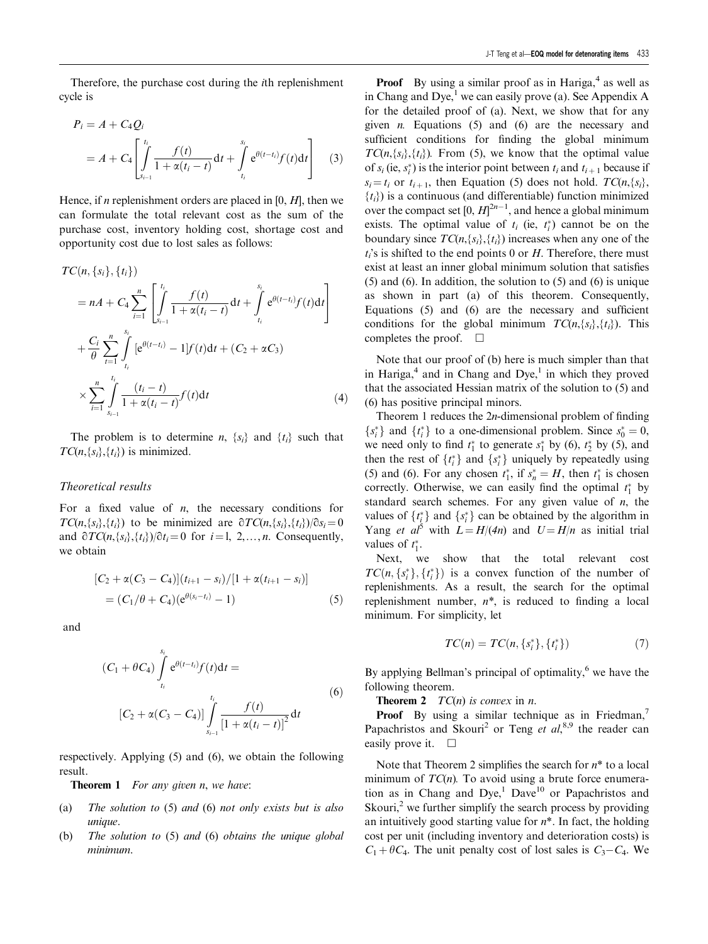Therefore, the purchase cost during the ith replenishment cycle is

$$
P_i = A + C_4 Q_i
$$
  
=  $A + C_4 \left[ \int_{s_{i-1}}^{t_i} \frac{f(t)}{1 + \alpha(t_i - t)} dt + \int_{t_i}^{s_i} e^{\theta(t - t_i)} f(t) dt \right]$  (3)

Hence, if  $n$  replenishment orders are placed in [0,  $H$ ], then we can formulate the total relevant cost as the sum of the purchase cost, inventory holding cost, shortage cost and opportunity cost due to lost sales as follows:

$$
TC(n, \{s_i\}, \{t_i\})
$$
\n
$$
= nA + C_4 \sum_{i=1}^n \left[ \int_{s_{i-1}}^{t_i} \frac{f(t)}{1 + \alpha(t_i - t)} dt + \int_{t_i}^{s_i} e^{\theta(t - t_i)} f(t) dt \right]
$$
\n
$$
+ \frac{C_i}{\theta} \sum_{t=1}^n \int_{t_i}^{s_i} \left[ e^{\theta(t - t_i)} - 1 \right] f(t) dt + (C_2 + \alpha C_3)
$$
\n
$$
\times \sum_{i=1}^n \int_{s_{i-1}}^{t_i} \frac{(t_i - t)}{1 + \alpha(t_i - t)} f(t) dt \tag{4}
$$

The problem is to determine *n*,  $\{s_i\}$  and  $\{t_i\}$  such that  $TC(n, \{s_i\}, \{t_i\})$  is minimized.

#### Theoretical results

For a fixed value of  $n$ , the necessary conditions for  $TC(n,\lbrace s_i \rbrace, \lbrace t_i \rbrace)$  to be minimized are  $\partial TC(n,\lbrace s_i \rbrace, \lbrace t_i \rbrace)/\partial s_i = 0$ and  $\partial TC(n,\{s_i\},\{t_i\})/\partial t_i = 0$  for  $i = 1, 2,..., n$ . Consequently, we obtain

$$
[C_2 + \alpha(C_3 - C_4)](t_{i+1} - s_i) / [1 + \alpha(t_{i+1} - s_i)]
$$
  
=  $(C_1/\theta + C_4)(e^{\theta(s_i - t_i)} - 1)$  (5)

and

$$
(C_1 + \theta C_4) \int_{t_i}^{s_i} e^{\theta(t-t_i)} f(t) dt =
$$
  

$$
[C_2 + \alpha (C_3 - C_4)] \int_{s_{i-1}}^{t_i} \frac{f(t)}{[1 + \alpha (t_i - t)]^2} dt
$$
 (6)

respectively. Applying (5) and (6), we obtain the following result.

**Theorem 1** For any given n, we have:

- (a) The solution to (5) and (6) not only exists but is also unique.
- (b) The solution to (5) and (6) obtains the unique global minimum.

**Proof** By using a similar proof as in Hariga, $4$  as well as in Chang and Dye,<sup>1</sup> we can easily prove (a). See Appendix A for the detailed proof of (a). Next, we show that for any given  $n$ . Equations (5) and (6) are the necessary and sufficient conditions for finding the global minimum  $TC(n, \{s_i\}, \{t_i\})$ . From (5), we know that the optimal value of  $s_i$  (ie,  $s_i^*$ ) is the interior point between  $t_i$  and  $t_{i+1}$  because if  $s_i = t_i$  or  $t_{i+1}$ , then Equation (5) does not hold.  $TC(n, \{s_i\})$ ,  ${t_i}$ ) is a continuous (and differentiable) function minimized over the compact set  $[0, H]^{2n-1}$ , and hence a global minimum exists. The optimal value of  $t_i$  (ie,  $t_i^*$ ) cannot be on the boundary since  $TC(n, \{s_i\}, \{t_i\})$  increases when any one of the  $t_i$ 's is shifted to the end points 0 or H. Therefore, there must exist at least an inner global minimum solution that satisfies (5) and (6). In addition, the solution to (5) and (6) is unique as shown in part (a) of this theorem. Consequently, Equations (5) and (6) are the necessary and sufficient conditions for the global minimum  $TC(n, \{s_i\}, \{t_i\})$ . This completes the proof.  $\Box$ 

Note that our proof of (b) here is much simpler than that in Hariga, $4$  and in Chang and Dye, $1$  in which they proved that the associated Hessian matrix of the solution to (5) and (6) has positive principal minors.

Theorem 1 reduces the 2n-dimensional problem of finding  $\{s_i^*\}$  and  $\{t_i^*\}$  to a one-dimensional problem. Since  $s_0^* = 0$ , we need only to find  $t_1^*$  to generate  $s_1^*$  by (6),  $t_2^*$  by (5), and then the rest of  $\{t_i^*\}$  and  $\{s_i^*\}$  uniquely by repeatedly using (5) and (6). For any chosen  $t_1^*$ , if  $s_n^* = H$ , then  $t_1^*$  is chosen correctly. Otherwise, we can easily find the optimal  $t_1^*$  by standard search schemes. For any given value of  $n$ , the values of  $\{t_i^*\}$  and  $\{s_i^*\}$  can be obtained by the algorithm in Yang *et al*<sup>5</sup> with  $L = H/(4n)$  and  $U = H/n$  as initial trial values of  $t_1^*$ .

Next, we show that the total relevant cost  $TC(n, \{s_i^*\}, \{t_i^*\})$  is a convex function of the number of replenishments. As a result, the search for the optimal replenishment number,  $n^*$ , is reduced to finding a local minimum. For simplicity, let

$$
TC(n) = TC(n, \{s_i^*\}, \{t_i^*\})
$$
\n(7)

By applying Bellman's principal of optimality, $6$  we have the following theorem.

**Theorem 2**  $TC(n)$  is convex in *n*.

**Proof** By using a similar technique as in Friedman, $^7$ Papachristos and Skouri<sup>2</sup> or Teng et  $al$ ,<sup>8,9</sup> the reader can easily prove it.  $\square$ 

Note that Theorem 2 simplifies the search for  $n^*$  to a local minimum of  $TC(n)$ . To avoid using a brute force enumeration as in Chang and Dye,<sup>1</sup> Dave<sup>10</sup> or Papachristos and Skouri, $<sup>2</sup>$  we further simplify the search process by providing</sup> an intuitively good starting value for  $n^*$ . In fact, the holding cost per unit (including inventory and deterioration costs) is  $C_1 + \theta C_4$ . The unit penalty cost of lost sales is  $C_3 - C_4$ . We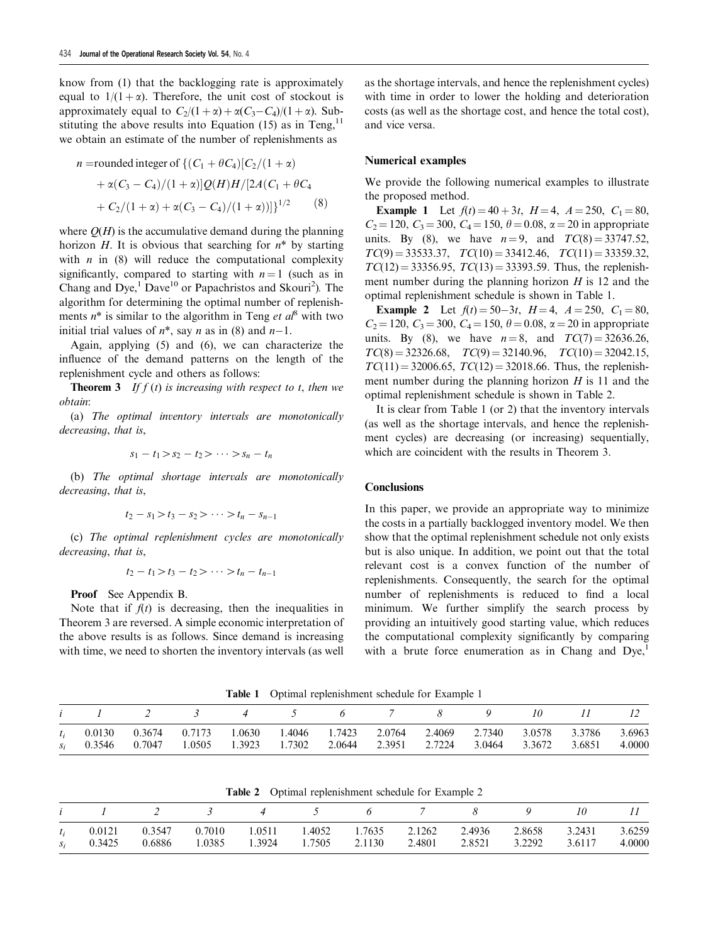know from (1) that the backlogging rate is approximately equal to  $1/(1+\alpha)$ . Therefore, the unit cost of stockout is approximately equal to  $C_2/(1+\alpha) + \alpha(C_3-C_4)/(1+\alpha)$ . Substituting the above results into Equation  $(15)$  as in Teng,<sup>11</sup> we obtain an estimate of the number of replenishments as

$$
n = \text{rounded integer of } \{ (C_1 + \theta C_4) [C_2/(1+\alpha) + \alpha (C_3 - C_4)/(1+\alpha)] Q(H) H / [2A(C_1 + \theta C_4 + C_2/(1+\alpha) + \alpha (C_3 - C_4)/(1+\alpha))] \}^{1/2}
$$
(8)

where  $O(H)$  is the accumulative demand during the planning horizon H. It is obvious that searching for  $n^*$  by starting with  $n$  in (8) will reduce the computational complexity significantly, compared to starting with  $n = 1$  (such as in Chang and  $Dye<sup>1</sup>$ ,  $Dave<sup>10</sup>$  or Papachristos and Skouri<sup>2</sup>). The algorithm for determining the optimal number of replenishments  $n^*$  is similar to the algorithm in Teng *et al*<sup>8</sup> with two initial trial values of  $n^*$ , say *n* as in (8) and  $n-1$ .

Again, applying (5) and (6), we can characterize the influence of the demand patterns on the length of the replenishment cycle and others as follows:

**Theorem 3** If  $f(t)$  is increasing with respect to t, then we obtain:

(a) The optimal inventory intervals are monotonically decreasing, that is,

$$
s_1 - t_1 > s_2 - t_2 > \cdots > s_n - t_n
$$

(b) The optimal shortage intervals are monotonically decreasing, that is,

$$
t_2 - s_1 > t_3 - s_2 > \cdots > t_n - s_{n-1}
$$

(c) The optimal replenishment cycles are monotonically decreasing, that is,

$$
t_2 - t_1 > t_3 - t_2 > \cdots > t_n - t_{n-1}
$$

Proof See Appendix B.

Note that if  $f(t)$  is decreasing, then the inequalities in Theorem 3 are reversed. A simple economic interpretation of the above results is as follows. Since demand is increasing with time, we need to shorten the inventory intervals (as well

as the shortage intervals, and hence the replenishment cycles) with time in order to lower the holding and deterioration costs (as well as the shortage cost, and hence the total cost), and vice versa.

#### Numerical examples

We provide the following numerical examples to illustrate the proposed method.

**Example 1** Let  $f(t) = 40 + 3t$ ,  $H = 4$ ,  $A = 250$ ,  $C_1 = 80$ ,  $C_2 = 120$ ,  $C_3 = 300$ ,  $C_4 = 150$ ,  $\theta = 0.08$ ,  $\alpha = 20$  in appropriate units. By (8), we have  $n = 9$ , and  $TC(8) = 33747.52$ ,  $TC(9) = 33533.37$ ,  $TC(10) = 33412.46$ ,  $TC(11) = 33359.32$ ,  $TC(12) = 33356.95$ ,  $TC(13) = 33393.59$ . Thus, the replenishment number during the planning horizon  $H$  is 12 and the optimal replenishment schedule is shown in Table 1.

**Example 2** Let  $f(t) = 50-3t$ ,  $H = 4$ ,  $A = 250$ ,  $C_1 = 80$ ,  $C_2$  = 120,  $C_3$  = 300,  $C_4$  = 150,  $\theta$  = 0.08,  $\alpha$  = 20 in appropriate units. By (8), we have  $n = 8$ , and  $TC(7) = 32636.26$ ,  $TC(8) = 32326.68$ ,  $TC(9) = 32140.96$ ,  $TC(10) = 32042.15$ ,  $TC(11) = 32006.65$ ,  $TC(12) = 32018.66$ . Thus, the replenishment number during the planning horizon  $H$  is 11 and the optimal replenishment schedule is shown in Table 2.

It is clear from Table 1 (or 2) that the inventory intervals (as well as the shortage intervals, and hence the replenishment cycles) are decreasing (or increasing) sequentially, which are coincident with the results in Theorem 3.

### **Conclusions**

In this paper, we provide an appropriate way to minimize the costs in a partially backlogged inventory model. We then show that the optimal replenishment schedule not only exists but is also unique. In addition, we point out that the total relevant cost is a convex function of the number of replenishments. Consequently, the search for the optimal number of replenishments is reduced to find a local minimum. We further simplify the search process by providing an intuitively good starting value, which reduces the computational complexity significantly by comparing with a brute force enumeration as in Chang and  $Dye<sub>1</sub>$ 

Table 1 Optimal replenishment schedule for Example 1

|  |  |  | $i$ $1$ $2$ $3$ $4$ $5$ $6$ $7$ $8$ $9$ $10$ $11$ $12$                                                                                                            |  |  |  |  |  |  |        |                  |  |  |
|--|--|--|-------------------------------------------------------------------------------------------------------------------------------------------------------------------|--|--|--|--|--|--|--------|------------------|--|--|
|  |  |  | $t_i$ 0.0130 0.3674 0.7173 1.0630 1.4046 1.7423 2.0764 2.4069 2.7340 3.0578 3.3786<br>$s_i$ 0.3546 0.7047 1.0505 1.3923 1.7302 2.0644 2.3951 2.7224 3.0464 3.3672 |  |  |  |  |  |  | 3.6851 | 3.6963<br>4.0000 |  |  |

| Table 2 |  | Optimal replenishment schedule for Example 2 |  |  |
|---------|--|----------------------------------------------|--|--|
|---------|--|----------------------------------------------|--|--|

|  | <i>i l</i> 2 3 4 5 6 7 8 9 10                                                                             |                                    |  |  |                      |  | $\begin{array}{ccc} & & & I & \end{array}$ |
|--|-----------------------------------------------------------------------------------------------------------|------------------------------------|--|--|----------------------|--|--------------------------------------------|
|  | $t_i$ 0.0121 0.3547 0.7010 1.0511 1.4052 1.7635 2.1262 2.4936 2.8658 3.2431 3.6259<br>$s_i$ 0.3425 0.6886 | 1.0385 1.3924 1.7505 2.1130 2.4801 |  |  | 2.8521 3.2292 3.6117 |  | 4.0000                                     |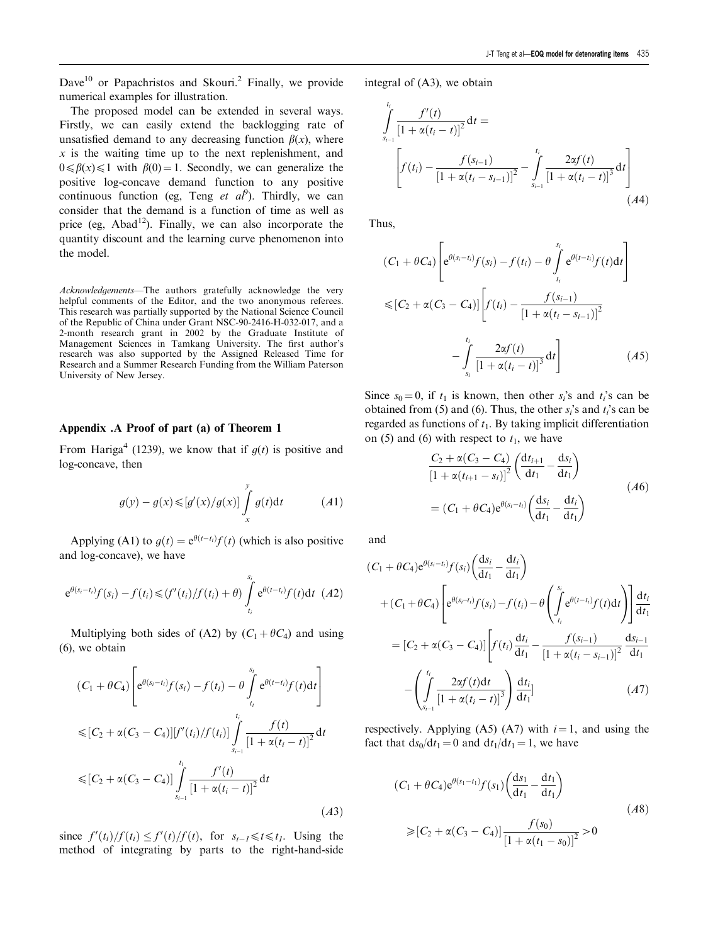Dave<sup>10</sup> or Papachristos and Skouri.<sup>2</sup> Finally, we provide numerical examples for illustration.

The proposed model can be extended in several ways. Firstly, we can easily extend the backlogging rate of unsatisfied demand to any decreasing function  $\beta(x)$ , where  $x$  is the waiting time up to the next replenishment, and  $0 \le \beta(x) \le 1$  with  $\beta(0) = 1$ . Secondly, we can generalize the positive log-concave demand function to any positive continuous function (eg, Teng et  $a^{\rho}$ ). Thirdly, we can consider that the demand is a function of time as well as price (eg,  $Abad<sup>12</sup>$ ). Finally, we can also incorporate the quantity discount and the learning curve phenomenon into the model.

Acknowledgements—The authors gratefully acknowledge the very helpful comments of the Editor, and the two anonymous referees. This research was partially supported by the National Science Council of the Republic of China under Grant NSC-90-2416-H-032-017, and a 2-month research grant in 2002 by the Graduate Institute of Management Sciences in Tamkang University. The first author's research was also supported by the Assigned Released Time for Research and a Summer Research Funding from the William Paterson University of New Jersey.

### Appendix .A Proof of part (a) of Theorem 1

From Hariga<sup>4</sup> (1239), we know that if  $q(t)$  is positive and log-concave, then

$$
g(y) - g(x) \leq [g'(x)/g(x)] \int_{x}^{y} g(t) dt \qquad (A1)
$$

Applying (A1) to  $g(t) = e^{\theta(t-t_i)}f(t)$  (which is also positive and log-concave), we have

$$
e^{\theta(s_i-t_i)}f(s_i)-f(t_i)\leqslant (f'(t_i)/f(t_i)+\theta)\int\limits_{t_i}^{s_i}e^{\theta(t-t_i)}f(t)\mathrm{d}t\ \ (A2)
$$

Multiplying both sides of (A2) by  $(C_1 + \theta C_4)$  and using (6), we obtain

$$
(C_1 + \theta C_4) \left[ e^{\theta(s_i - t_i)} f(s_i) - f(t_i) - \theta \int_{t_i}^{s_i} e^{\theta(t - t_i)} f(t) dt \right]
$$
  
\n
$$
\leq [C_2 + \alpha (C_3 - C_4)] [f'(t_i)/f(t_i)] \int_{s_{i-1}}^{t_i} \frac{f(t)}{[1 + \alpha (t_i - t)]^2} dt
$$
  
\n
$$
\leq [C_2 + \alpha (C_3 - C_4)] \int_{s_{i-1}}^{t_i} \frac{f'(t)}{[1 + \alpha (t_i - t)]^2} dt
$$
(A3)

since  $f'(t_i)/f(t_i) \leq f'(t)/f(t)$ , for  $s_{t-1} \leq t \leq t_1$ . Using the method of integrating by parts to the right-hand-side integral of (A3), we obtain

$$
\int_{s_{i-1}}^{t_i} \frac{f'(t)}{\left[1 + \alpha(t_i - t)\right]^2} dt =
$$
\n
$$
\left[ f(t_i) - \frac{f(s_{i-1})}{\left[1 + \alpha(t_i - s_{i-1})\right]^2} - \int_{s_{i-1}}^{t_i} \frac{2\alpha f(t)}{\left[1 + \alpha(t_i - t)\right]^3} dt \right]
$$
\n(A4)

Thus,

$$
(C_1 + \theta C_4) \left[ e^{\theta(s_i - t_i)} f(s_i) - f(t_i) - \theta \int_{t_i}^{s_i} e^{\theta(t - t_i)} f(t) dt \right]
$$
  

$$
\leq [C_2 + \alpha (C_3 - C_4)] \left[ f(t_i) - \frac{f(s_{i-1})}{[1 + \alpha (t_i - s_{i-1})]^2} - \int_{s_i}^{t_i} \frac{2\alpha f(t)}{[1 + \alpha (t_i - t)]^3} dt \right]
$$
(A5)

Since  $s_0 = 0$ , if  $t_1$  is known, then other  $s_i$ 's and  $t_i$ 's can be obtained from (5) and (6). Thus, the other  $s_i$ 's and  $t_i$ 's can be regarded as functions of  $t_1$ . By taking implicit differentiation on (5) and (6) with respect to  $t_1$ , we have

$$
\frac{C_2 + \alpha(C_3 - C_4)}{\left[1 + \alpha(t_{i+1} - s_i)\right]^2} \left(\frac{dt_{i+1}}{dt_1} - \frac{ds_i}{dt_1}\right)
$$
\n
$$
= (C_1 + \theta C_4) e^{\theta(s_i - t_i)} \left(\frac{ds_i}{dt_1} - \frac{dt_i}{dt_1}\right)
$$
\n(A6)

and

$$
(C_1 + \theta C_4) e^{\theta(s_i - t_i)} f(s_i) \left(\frac{ds_i}{dt_1} - \frac{dt_i}{dt_1}\right)
$$
  
+ 
$$
(C_1 + \theta C_4) \left[ e^{\theta(s_i - t_i)} f(s_i) - f(t_i) - \theta \left(\int_{t_i}^{s_i} e^{\theta(t - t_i)} f(t) dt\right) \right] \frac{dt_i}{dt_1}
$$
  
= 
$$
[C_2 + \alpha (C_3 - C_4)] \left[ f(t_i) \frac{dt_i}{dt_1} - \frac{f(s_{i-1})}{[1 + \alpha(t_i - s_{i-1})]^2} \frac{ds_{i-1}}{dt_1} - \left(\int_{s_{i-1}}^{t_i} \frac{2\alpha f(t) dt}{[1 + \alpha(t_i - t)]^3} \right) \frac{dt_i}{dt_1}]
$$
(A7)

respectively. Applying (A5) (A7) with  $i = 1$ , and using the fact that  $ds_0/dt_1 = 0$  and  $dt_1/dt_1 = 1$ , we have

$$
(C_1 + \theta C_4) e^{\theta(s_1 - t_1)} f(s_1) \left(\frac{ds_1}{dt_1} - \frac{dt_1}{dt_1}\right)
$$
  
\n
$$
\geq [C_2 + \alpha (C_3 - C_4)] \frac{f(s_0)}{[1 + \alpha (t_1 - s_0)]^2} > 0
$$
\n
$$
(A8)
$$